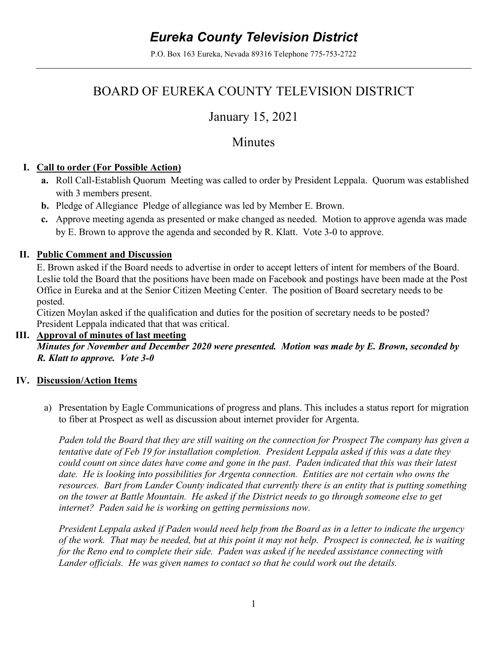# *Eureka County Television District*

P.O. Box 163 Eureka, Nevada 89316 Telephone 775-753-2722

## BOARD OF EUREKA COUNTY TELEVISION DISTRICT

## January 15, 2021

### Minutes

#### **I. Call to order (For Possible Action)**

- **a.** Roll Call-Establish Quorum Meeting was called to order by President Leppala. Quorum was established with 3 members present.
- **b.** Pledge of Allegiance Pledge of allegiance was led by Member E. Brown.
- **c.** Approve meeting agenda as presented or make changed as needed. Motion to approve agenda was made by E. Brown to approve the agenda and seconded by R. Klatt. Vote 3-0 to approve.

#### **II. Public Comment and Discussion**

E. Brown asked if the Board needs to advertise in order to accept letters of intent for members of the Board. Leslie told the Board that the positions have been made on Facebook and postings have been made at the Post Office in Eureka and at the Senior Citizen Meeting Center. The position of Board secretary needs to be posted.

Citizen Moylan asked if the qualification and duties for the position of secretary needs to be posted? President Leppala indicated that that was critical.

#### **III. Approval of minutes of last meeting**

*Minutes for November and December 2020 were presented. Motion was made by E. Brown, seconded by R. Klatt to approve. Vote 3-0*

#### **IV. Discussion/Action Items**

a) Presentation by Eagle Communications of progress and plans. This includes a status report for migration to fiber at Prospect as well as discussion about internet provider for Argenta.

*Paden told the Board that they are still waiting on the connection for Prospect The company has given a tentative date of Feb 19 for installation completion. President Leppala asked if this was a date they could count on since dates have come and gone in the past. Paden indicated that this was their latest date. He is looking into possibilities for Argenta connection. Entities are not certain who owns the resources. Bart from Lander County indicated that currently there is an entity that is putting something on the tower at Battle Mountain. He asked if the District needs to go through someone else to get internet? Paden said he is working on getting permissions now.* 

*President Leppala asked if Paden would need help from the Board as in a letter to indicate the urgency of the work. That may be needed, but at this point it may not help. Prospect is connected, he is waiting for the Reno end to complete their side. Paden was asked if he needed assistance connecting with Lander officials. He was given names to contact so that he could work out the details.*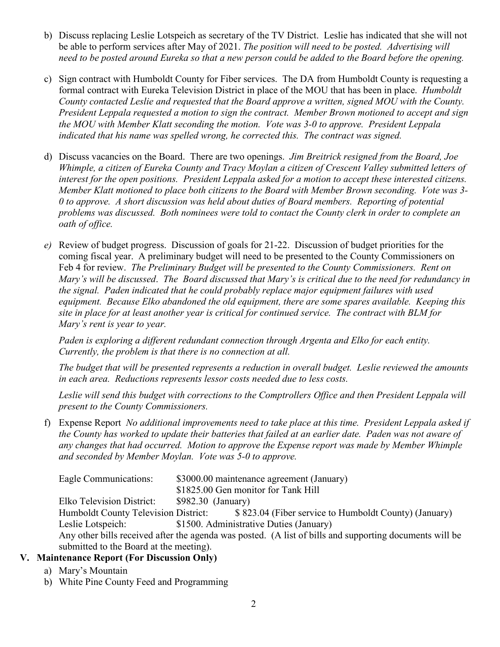- b) Discuss replacing Leslie Lotspeich as secretary of the TV District. Leslie has indicated that she will not be able to perform services after May of 2021. *The position will need to be posted. Advertising will need to be posted around Eureka so that a new person could be added to the Board before the opening.*
- c) Sign contract with Humboldt County for Fiber services. The DA from Humboldt County is requesting a formal contract with Eureka Television District in place of the MOU that has been in place. *Humboldt County contacted Leslie and requested that the Board approve a written, signed MOU with the County. President Leppala requested a motion to sign the contract. Member Brown motioned to accept and sign the MOU with Member Klatt seconding the motion. Vote was 3-0 to approve. President Leppala indicated that his name was spelled wrong, he corrected this. The contract was signed.*
- d) Discuss vacancies on the Board. There are two openings. *Jim Breitrick resigned from the Board, Joe Whimple, a citizen of Eureka County and Tracy Moylan a citizen of Crescent Valley submitted letters of interest for the open positions. President Leppala asked for a motion to accept these interested citizens. Member Klatt motioned to place both citizens to the Board with Member Brown seconding. Vote was 3- 0 to approve. A short discussion was held about duties of Board members. Reporting of potential problems was discussed. Both nominees were told to contact the County clerk in order to complete an oath of office.*
- *e)* Review of budget progress. Discussion of goals for 21-22. Discussion of budget priorities for the coming fiscal year. A preliminary budget will need to be presented to the County Commissioners on Feb 4 for review. *The Preliminary Budget will be presented to the County Commissioners. Rent on Mary's will be discussed*. *The Board discussed that Mary's is critical due to the need for redundancy in the signal. Paden indicated that he could probably replace major equipment failures with used equipment. Because Elko abandoned the old equipment, there are some spares available. Keeping this site in place for at least another year is critical for continued service. The contract with BLM for Mary's rent is year to year.*

*Paden is exploring a different redundant connection through Argenta and Elko for each entity. Currently, the problem is that there is no connection at all.*

*The budget that will be presented represents a reduction in overall budget. Leslie reviewed the amounts in each area. Reductions represents lessor costs needed due to less costs.* 

*Leslie will send this budget with corrections to the Comptrollers Office and then President Leppala will present to the County Commissioners.* 

f) Expense Report *No additional improvements need to take place at this time. President Leppala asked if the County has worked to update their batteries that failed at an earlier date. Paden was not aware of any changes that had occurred. Motion to approve the Expense report was made by Member Whimple and seconded by Member Moylan. Vote was 5-0 to approve.* 

| Eagle Communications:                                                                                   | \$3000.00 maintenance agreement (January) |                                         |
|---------------------------------------------------------------------------------------------------------|-------------------------------------------|-----------------------------------------|
|                                                                                                         | \$1825.00 Gen monitor for Tank Hill       |                                         |
| Elko Television District:                                                                               | $$982.30$ (January)                       |                                         |
|                                                                                                         |                                           |                                         |
| Leslie Lotspeich:                                                                                       |                                           | \$1500. Administrative Duties (January) |
| Any other bills received after the agenda was posted. (A list of bills and supporting documents will be |                                           |                                         |
| submitted to the Board at the meeting).                                                                 |                                           |                                         |

### **V. Maintenance Report (For Discussion Only)**

- a) Mary's Mountain
- b) White Pine County Feed and Programming